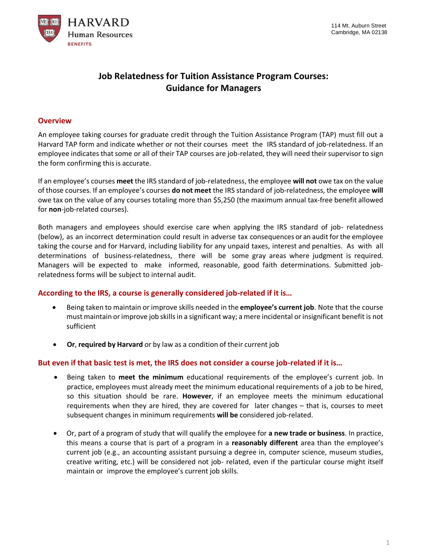

# **Job Relatedness for Tuition Assistance Program Courses: Guidance for Managers**

### **Overview**

An employee taking courses for graduate credit through the Tuition Assistance Program (TAP) must fill out a Harvard TAP form and indicate whether or not their courses meet the IRS standard of job-relatedness. If an employee indicates that some or all of their TAP courses are job-related, they will need their supervisor to sign the form confirming this is accurate.

If an employee's courses **meet** the IRS standard of job-relatedness, the employee **will not** owe tax on the value of those courses. If an employee's courses **do not meet** the IRS standard of job-relatedness, the employee **will**  owe tax on the value of any courses totaling more than \$5,250 (the maximum annual tax-free benefit allowed for **non**-job-related courses).

Both managers and employees should exercise care when applying the IRS standard of job- relatedness (below), as an incorrect determination could result in adverse tax consequences or an audit for the employee taking the course and for Harvard, including liability for any unpaid taxes, interest and penalties. As with all determinations of business-relatedness, there will be some gray areas where judgment is required. Managers will be expected to make informed, reasonable, good faith determinations. Submitted jobrelatedness forms will be subject to internal audit.

#### **According to the IRS, a course is generally considered job-related if it is…**

- Being taken to maintain or improve skills needed in the **employee's current job**. Note that the course must maintain or improve job skills in a significant way; a mere incidental or insignificant benefit is not sufficient
- **Or**, **required by Harvard** or by law as a condition of their current job

#### **But even if that basic test is met, the IRS does not consider a course job-related if it is…**

- Being taken to **meet the minimum** educational requirements of the employee's current job. In practice, employees must already meet the minimum educational requirements of a job to be hired, so this situation should be rare. **However**, if an employee meets the minimum educational requirements when they are hired, they are covered for later changes – that is, courses to meet subsequent changes in minimum requirements **will be** considered job-related.
- Or, part of a program of study that will qualify the employee for **a new trade or business**. In practice, this means a course that is part of a program in a **reasonably different** area than the employee's current job (e.g., an accounting assistant pursuing a degree in, computer science, museum studies, creative writing, etc.) will be considered not job- related, even if the particular course might itself maintain or improve the employee's current job skills.